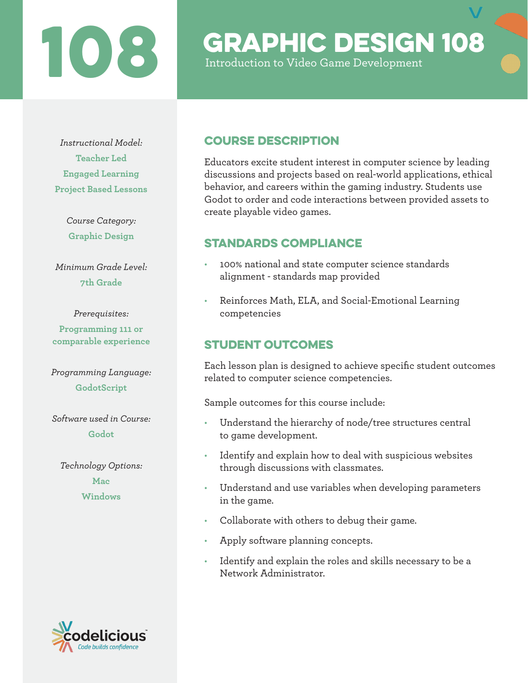## TO CRAPHIC DESIGN 108

Introduction to Video Game Development

*Instructional Model:* **Teacher Led Engaged Learning Project Based Lessons**

> *Course Category:* **Graphic Design**

*Minimum Grade Level:* **7th Grade**

### *Prerequisites:*

**Programming 111 or comparable experience**

*Programming Language:* **GodotScript**

*Software used in Course:* **Godot**

*Technology Options:* **Mac Windows**

## de builds confidence

## Course Description

Educators excite student interest in computer science by leading discussions and projects based on real-world applications, ethical behavior, and careers within the gaming industry. Students use Godot to order and code interactions between provided assets to create playable video games.

## STANDARDS COMPLIANCE

- 100% national and state computer science standards alignment - standards map provided
- Reinforces Math, ELA, and Social-Emotional Learning competencies

## STUDENT OUTCOMES

Each lesson plan is designed to achieve specific student outcomes related to computer science competencies.

Sample outcomes for this course include:

- Understand the hierarchy of node/tree structures central to game development.
- Identify and explain how to deal with suspicious websites through discussions with classmates.
- Understand and use variables when developing parameters in the game.
- Collaborate with others to debug their game.
- Apply software planning concepts.
- Identify and explain the roles and skills necessary to be a Network Administrator.